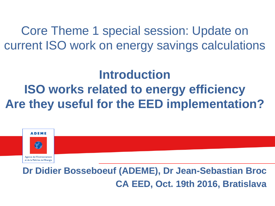Core Theme 1 special session: Update on current ISO work on energy savings calculations

# **Introduction ISO works related to energy efficiency Are they useful for the EED implementation?**



**Dr Didier Bosseboeuf (ADEME), Dr Jean-Sebastian Broc CA EED, Oct. 19th 2016, Bratislava**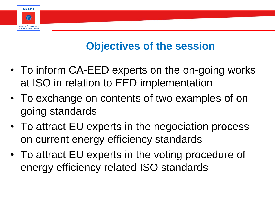## **Objectives of the session**

• To inform CA-EED experts on the on-going works at ISO in relation to EED implementation

**ADEME** 

Agence de l'Environnemen et de la Maîtrise de l'Energie

- To exchange on contents of two examples of on going standards
- To attract EU experts in the negociation process on current energy efficiency standards
- To attract EU experts in the voting procedure of energy efficiency related ISO standards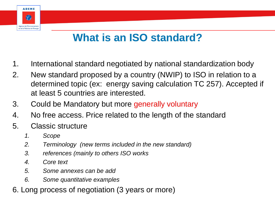# **What is an ISO standard?**

- 1. International standard negotiated by national standardization body
- 2. New standard proposed by a country (NWIP) to ISO in relation to a determined topic (ex: energy saving calculation TC 257). Accepted if at least 5 countries are interested.
- 3. Could be Mandatory but more generally voluntary
- 4. No free access. Price related to the length of the standard
- 5. Classic structure
	- *1. Scope*

**ADEME** 

 $\bigcap$ 

Agence de l'Environnemen et de la Maîtrise de l'Energie

- *2. Terminology (new terms included in the new standard)*
- *3. references (mainly to others ISO works*
- *4. Core text*
- *5. Some annexes can be add*
- *6. Some quantitative examples*
- 6. Long process of negotiation (3 years or more)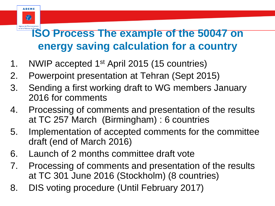# **ISO Process The example of the 50047 on energy saving calculation for a country**

1. NWIP accepted 1st April 2015 (15 countries)

**ADEME** 

 $\left( \begin{matrix} \cdot \end{matrix} \right)$ 

Agence de l'Enviro

- 2. Powerpoint presentation at Tehran (Sept 2015)
- 3. Sending a first working draft to WG members January 2016 for comments
- 4. Processing of comments and presentation of the results at TC 257 March (Birmingham) : 6 countries
- 5. Implementation of accepted comments for the committee draft (end of March 2016)
- 6. Launch of 2 months committee draft vote
- 7. Processing of comments and presentation of the results at TC 301 June 2016 (Stockholm) (8 countries)
- 8. DIS voting procedure (Until February 2017)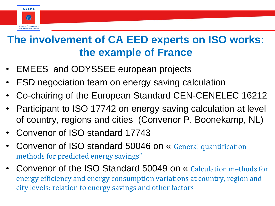

# **The involvement of CA EED experts on ISO works: the example of France**

- EMEES and ODYSSEE european projects
- ESD negociation team on energy saving calculation
- Co-chairing of the European Standard CEN-CENELEC 16212
- Participant to ISO 17742 on energy saving calculation at level of country, regions and cities (Convenor P. Boonekamp, NL)
- Convenor of ISO standard 17743
- Convenor of ISO standard 50046 on « General quantification methods for predicted energy savings"
- Convenor of the ISO Standard 50049 on « Calculation methods for energy efficiency and energy consumption variations at country, region and city levels: relation to energy savings and other factors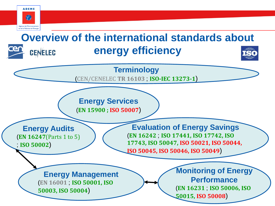

#### **Overview of the international standards about energy efficiency CENELEC**

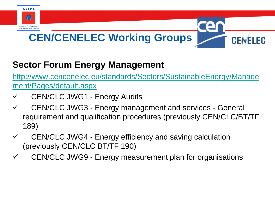

#### **Sector Forum Energy Management**

[http://www.cencenelec.eu/standards/Sectors/SustainableEnergy/Manage](http://www.cencenelec.eu/standards/Sectors/SustainableEnergy/Management/Pages/default.aspx) [ment/Pages/default.aspx](http://www.cencenelec.eu/standards/Sectors/SustainableEnergy/Management/Pages/default.aspx)

- CEN/CLC JWG1 Energy Audits
- $\checkmark$  CEN/CLC JWG3 Energy management and services General requirement and qualification procedures (previously CEN/CLC/BT/TF 189)
- $\checkmark$  CEN/CLC JWG4 Energy efficiency and saving calculation (previously CEN/CLC BT/TF 190)
- $\checkmark$  CEN/CLC JWG9 Energy measurement plan for organisations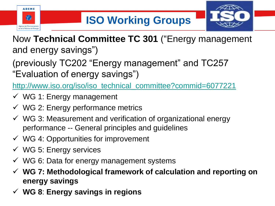



- Now **Technical Committee TC 301** ("Energy management and energy savings")
- (previously TC202 "Energy management" and TC257 "Evaluation of energy savings")

[http://www.iso.org/iso/iso\\_technical\\_committee?commid=6077221](http://www.iso.org/iso/iso_technical_committee?commid=6077221)

- $\checkmark$  WG 1: Energy management
- $\checkmark$  WG 2: Energy performance metrics
- $\checkmark$  WG 3: Measurement and verification of organizational energy performance -- General principles and guidelines
- $\checkmark$  WG 4: Opportunities for improvement
- $\checkmark$  WG 5: Energy services
- $\checkmark$  WG 6: Data for energy management systems
- **WG 7: Methodological framework of calculation and reporting on energy savings**
- **WG 8**: **Energy savings in regions**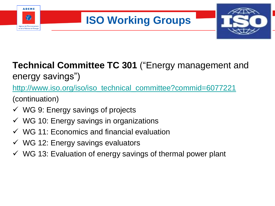

# **ISO Working Groups**



#### **Technical Committee TC 301** ("Energy management and energy savings")

[http://www.iso.org/iso/iso\\_technical\\_committee?commid=6077221](http://www.iso.org/iso/iso_technical_committee?commid=6077221)

(continuation)

- $\checkmark$  WG 9: Energy savings of projects
- $\checkmark$  WG 10: Energy savings in organizations
- $\checkmark$  WG 11: Economics and financial evaluation
- $\checkmark$  WG 12: Energy savings evaluators
- $\checkmark$  WG 13: Evaluation of energy savings of thermal power plant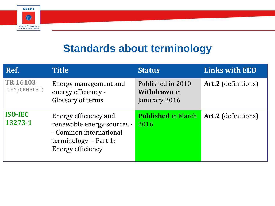

### **Standards about terminology**

| Ref.                             | <b>Title</b>                                                                                                                        | <b>Status</b>                                             | <b>Links with EED</b>      |
|----------------------------------|-------------------------------------------------------------------------------------------------------------------------------------|-----------------------------------------------------------|----------------------------|
| <b>TR 16103</b><br>(CEN/CENELEC) | Energy management and<br>energy efficiency -<br>Glossary of terms                                                                   | Published in 2010<br><b>Withdrawn</b> in<br>Janurary 2016 | <b>Art.2</b> (definitions) |
| <b>ISO-IEC</b><br>13273-1        | Energy efficiency and<br>renewable energy sources -<br>- Common international<br>terminology -- Part 1:<br><b>Energy efficiency</b> | <b>Published in March</b><br>2016                         | <b>Art.2</b> (definitions) |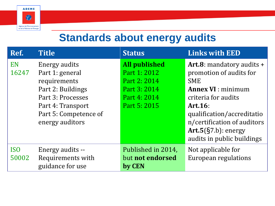

#### **Standards about energy audits**

| Ref.                | <b>Title</b>                                                                                                                                                | <b>Status</b>                                                                                        | <b>Links with EED</b>                                                                                                                                                                                                                                   |
|---------------------|-------------------------------------------------------------------------------------------------------------------------------------------------------------|------------------------------------------------------------------------------------------------------|---------------------------------------------------------------------------------------------------------------------------------------------------------------------------------------------------------------------------------------------------------|
| EN<br>16247         | Energy audits<br>Part 1: general<br>requirements<br>Part 2: Buildings<br>Part 3: Processes<br>Part 4: Transport<br>Part 5: Competence of<br>energy auditors | <b>All published</b><br>Part 1: 2012<br>Part 2: 2014<br>Part 3: 2014<br>Part 4: 2014<br>Part 5: 2015 | Art.8: mandatory audits +<br>promotion of audits for<br><b>SME</b><br><b>Annex VI</b> : minimum<br>criteria for audits<br>Art.16:<br>qualification/accreditatio<br>n/certification of auditors<br>Art.5 $(S7.b)$ : energy<br>audits in public buildings |
| <b>ISO</b><br>50002 | Energy audits --<br>Requirements with<br>guidance for use                                                                                                   | Published in 2014,<br>but not endorsed<br>by CEN                                                     | Not applicable for<br>European regulations                                                                                                                                                                                                              |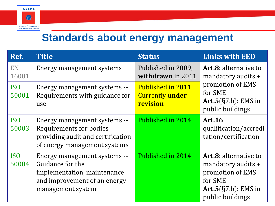

### **Standards about energy management**

| Ref.                     | <b>Title</b>                                                                                                                         | <b>Status</b>                                                  | <b>Links with EED</b>                                                                                                           |
|--------------------------|--------------------------------------------------------------------------------------------------------------------------------------|----------------------------------------------------------------|---------------------------------------------------------------------------------------------------------------------------------|
| EN<br>16001              | Energy management systems                                                                                                            | Published in 2009,<br>withdrawn in 2011                        | <b>Art.8:</b> alternative to<br>mandatory audits +                                                                              |
| <b>ISO</b><br>50001      | Energy management systems --<br>Requirements with guidance for<br>use                                                                | <b>Published in 2011</b><br><b>Currently under</b><br>revision | promotion of EMS<br>for SME<br>$Art.5(\S7.b): EMS$ in<br>public buildings                                                       |
| IS <sub>0</sub><br>50003 | Energy management systems --<br>Requirements for bodies<br>providing audit and certification<br>of energy management systems         | Published in 2014                                              | Art.16:<br>qualification/accredi<br>tation/certification                                                                        |
| <b>ISO</b><br>50004      | Energy management systems --<br>Guidance for the<br>implementation, maintenance<br>and improvement of an energy<br>management system | Published in 2014                                              | <b>Art.8:</b> alternative to<br>mandatory audits +<br>promotion of EMS<br>for SME<br>$Art.5(\S7.b): EMS$ in<br>public buildings |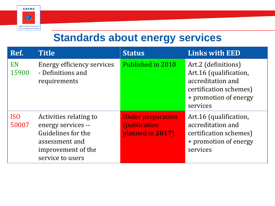

### **Standards about energy services**

| Ref.                | <b>Title</b>                                                                                                                   | <b>Status</b>                                                        | <b>Links with EED</b>                                                                                                             |
|---------------------|--------------------------------------------------------------------------------------------------------------------------------|----------------------------------------------------------------------|-----------------------------------------------------------------------------------------------------------------------------------|
| <b>EN</b><br>15900  | <b>Energy efficiency services</b><br>- Definitions and<br>requirements                                                         | Published in 2010                                                    | Art.2 (definitions)<br>Art.16 (qualification,<br>accreditation and<br>certification schemes)<br>+ promotion of energy<br>services |
| <b>ISO</b><br>50007 | Activities relating to<br>energy services --<br>Guidelines for the<br>assessment and<br>improvement of the<br>service to users | <b>Under preparation</b><br><i>(publication)</i><br>planned in 2017) | Art.16 (qualification,<br>accreditation and<br>certification schemes)<br>+ promotion of energy<br>services                        |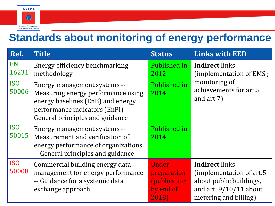

## **Standards about monitoring of energy performance**

| Ref.                     | <b>Title</b>                                                                                                                                                                   | <b>Status</b>                                                      | <b>Links with EED</b>                                                                                                              |
|--------------------------|--------------------------------------------------------------------------------------------------------------------------------------------------------------------------------|--------------------------------------------------------------------|------------------------------------------------------------------------------------------------------------------------------------|
| EN<br>16231              | Energy efficiency benchmarking<br>methodology                                                                                                                                  | Published in<br>2012                                               | <b>Indirect</b> links<br>(implementation of EMS;<br>monitoring of<br>achievements for art.5<br>and $art.7$ )                       |
| <b>ISO</b><br>50006      | Energy management systems --<br>Measuring energy performance using<br>energy baselines (EnB) and energy<br>performance indicators (EnPI) --<br>General principles and guidance | Published in<br>2014                                               |                                                                                                                                    |
| IS <sub>O</sub><br>50015 | Energy management systems --<br>Measurement and verification of<br>energy performance of organizations<br>-- General principles and guidance                                   | Published in<br>2014                                               |                                                                                                                                    |
| IS <sub>O</sub><br>50008 | Commercial building energy data<br>management for energy performance<br>-- Guidance for a systemic data<br>exchange approach                                                   | Under<br>preparation<br><i>(publication)</i><br>by end of<br>2018) | <b>Indirect</b> links<br>(implementation of art.5)<br>about public buildings,<br>and art. $9/10/11$ about<br>metering and billing) |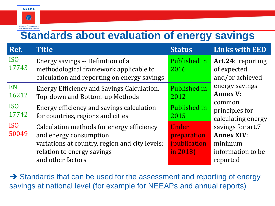

## **Standards about evaluation of energy savings**

| Ref.                     | <b>Title</b>                                                                                                                                        | <b>Status</b>                                            | <b>Links with EED</b>                                                  |
|--------------------------|-----------------------------------------------------------------------------------------------------------------------------------------------------|----------------------------------------------------------|------------------------------------------------------------------------|
| IS <sub>0</sub><br>17743 | Energy savings -- Definition of a<br>methodological framework applicable to<br>calculation and reporting on energy savings                          | Published in<br>2016                                     | Art.24: reporting<br>of expected<br>and/or achieved                    |
| EN<br>16212              | Energy Efficiency and Savings Calculation,<br>Top-down and Bottom-up Methods                                                                        | Published in<br>2012                                     | energy savings<br><b>Annex V:</b>                                      |
| <b>ISO</b><br>17742      | Energy efficiency and savings calculation<br>for countries, regions and cities                                                                      | Published in<br>2015                                     | common<br>principles for<br>calculating energy                         |
| <b>ISO</b><br>50049      | Calculation methods for energy efficiency<br>and energy consumption<br>variations at country, region and city levels:<br>relation to energy savings | Under<br>preparation<br><i>(publication)</i><br>in 2018) | savings for art.7<br><b>Annex XIV:</b><br>minimum<br>information to be |
|                          | and other factors                                                                                                                                   |                                                          | reported                                                               |

→ Standards that can be used for the assessment and reporting of energy savings at national level (for example for NEEAPs and annual reports)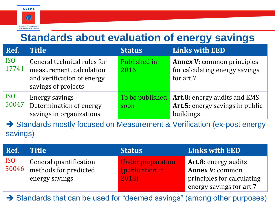

# **Standards about evaluation of energy savings**

| Ref.                | <b>Title</b>                                                                                                 | <b>Status</b>           | <b>Links with EED</b>                                                               |
|---------------------|--------------------------------------------------------------------------------------------------------------|-------------------------|-------------------------------------------------------------------------------------|
| <b>ISO</b><br>17741 | General technical rules for<br>measurement, calculation<br>and verification of energy<br>savings of projects | Published in<br>2016    | <b>Annex V: common principles</b><br>for calculating energy savings<br>for art.7    |
| <b>ISO</b><br>50047 | Energy savings -<br>Determination of energy<br>savings in organizations                                      | To be published<br>soon | <b>Art.8:</b> energy audits and EMS<br>Art.5: energy savings in public<br>buildings |

→ Standards mostly focused on Measurement & Verification (ex-post energy savings)

| Ref.         | <b>Title</b>                                                      | <b>Status</b>                                        | Links with EED                                                                                                  |
|--------------|-------------------------------------------------------------------|------------------------------------------------------|-----------------------------------------------------------------------------------------------------------------|
| ISO<br>50046 | General quantification<br>methods for predicted<br>energy savings | <b>Under preparation</b><br>(publication in<br>2018) | <b>Art.8: energy audits</b><br><b>Annex V: common</b><br>principles for calculating<br>energy savings for art.7 |

→ Standards that can be used for "deemed savings" (among other purposes)